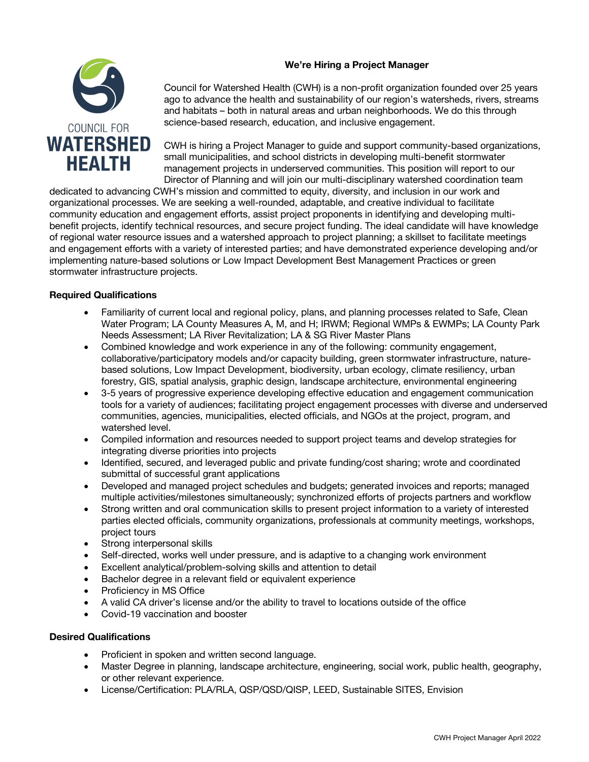# **We're Hiring a Project Manager**



Council for Watershed Health (CWH) is a non-profit organization founded over 25 years ago to advance the health and sustainability of our region's watersheds, rivers, streams and habitats – both in natural areas and urban neighborhoods. We do this through science-based research, education, and inclusive engagement.

CWH is hiring a Project Manager to guide and support community-based organizations, small municipalities, and school districts in developing multi-benefit stormwater management projects in underserved communities. This position will report to our Director of Planning and will join our multi-disciplinary watershed coordination team

dedicated to advancing CWH's mission and committed to equity, diversity, and inclusion in our work and organizational processes. We are seeking a well-rounded, adaptable, and creative individual to facilitate community education and engagement efforts, assist project proponents in identifying and developing multibenefit projects, identify technical resources, and secure project funding. The ideal candidate will have knowledge of regional water resource issues and a watershed approach to project planning; a skillset to facilitate meetings and engagement efforts with a variety of interested parties; and have demonstrated experience developing and/or implementing nature-based solutions or Low Impact Development Best Management Practices or green stormwater infrastructure projects.

# **Required Qualifications**

- Familiarity of current local and regional policy, plans, and planning processes related to Safe, Clean Water Program; LA County Measures A, M, and H; IRWM; Regional WMPs & EWMPs; LA County Park Needs Assessment; LA River Revitalization; LA & SG River Master Plans
- Combined knowledge and work experience in any of the following: community engagement, collaborative/participatory models and/or capacity building, green stormwater infrastructure, naturebased solutions, Low Impact Development, biodiversity, urban ecology, climate resiliency, urban forestry, GIS, spatial analysis, graphic design, landscape architecture, environmental engineering
- 3-5 years of progressive experience developing effective education and engagement communication tools for a variety of audiences; facilitating project engagement processes with diverse and underserved communities, agencies, municipalities, elected officials, and NGOs at the project, program, and watershed level
- Compiled information and resources needed to support project teams and develop strategies for integrating diverse priorities into projects
- Identified, secured, and leveraged public and private funding/cost sharing; wrote and coordinated submittal of successful grant applications
- Developed and managed project schedules and budgets; generated invoices and reports; managed multiple activities/milestones simultaneously; synchronized efforts of projects partners and workflow
- Strong written and oral communication skills to present project information to a variety of interested parties elected officials, community organizations, professionals at community meetings, workshops, project tours
- Strong interpersonal skills
- Self-directed, works well under pressure, and is adaptive to a changing work environment
- Excellent analytical/problem-solving skills and attention to detail
- Bachelor degree in a relevant field or equivalent experience
- Proficiency in MS Office
- A valid CA driver's license and/or the ability to travel to locations outside of the office
- Covid-19 vaccination and booster

## **Desired Qualifications**

- Proficient in spoken and written second language.
- Master Degree in planning, landscape architecture, engineering, social work, public health, geography, or other relevant experience.
- License/Certification: PLA/RLA, QSP/QSD/QISP, LEED, Sustainable SITES, Envision